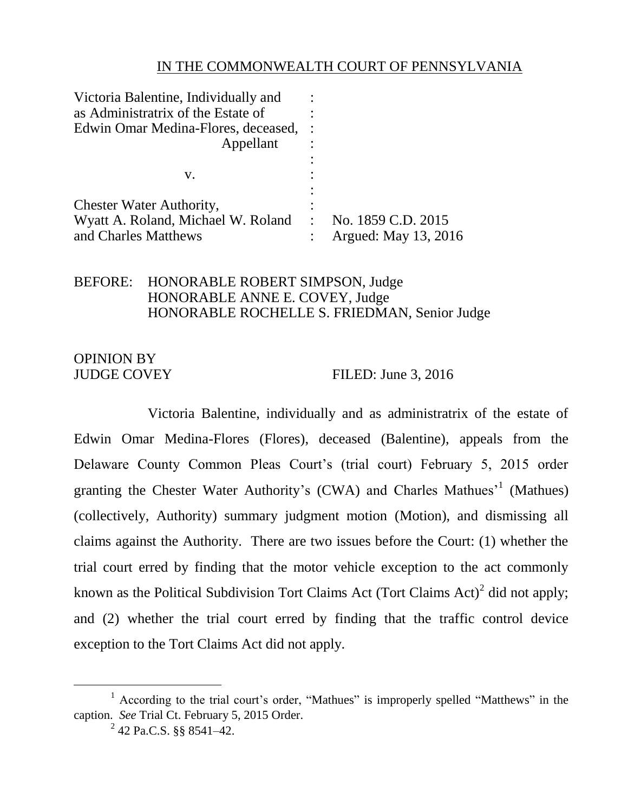## IN THE COMMONWEALTH COURT OF PENNSYLVANIA

| Victoria Balentine, Individually and |                      |
|--------------------------------------|----------------------|
| as Administratrix of the Estate of   |                      |
| Edwin Omar Medina-Flores, deceased,  |                      |
| Appellant                            |                      |
|                                      |                      |
| V.                                   |                      |
|                                      |                      |
| <b>Chester Water Authority,</b>      |                      |
| Wyatt A. Roland, Michael W. Roland   | : No. 1859 C.D. 2015 |
| and Charles Matthews                 | Argued: May 13, 2016 |

## BEFORE: HONORABLE ROBERT SIMPSON, Judge HONORABLE ANNE E. COVEY, Judge HONORABLE ROCHELLE S. FRIEDMAN, Senior Judge

# OPINION BY

JUDGE COVEY FILED: June 3, 2016

Victoria Balentine, individually and as administratrix of the estate of Edwin Omar Medina-Flores (Flores), deceased (Balentine), appeals from the Delaware County Common Pleas Court's (trial court) February 5, 2015 order granting the Chester Water Authority's (CWA) and Charles Mathues<sup>'1</sup> (Mathues) (collectively, Authority) summary judgment motion (Motion), and dismissing all claims against the Authority. There are two issues before the Court: (1) whether the trial court erred by finding that the motor vehicle exception to the act commonly known as the Political Subdivision Tort Claims Act (Tort Claims Act)<sup>2</sup> did not apply; and (2) whether the trial court erred by finding that the traffic control device exception to the Tort Claims Act did not apply.

 $\overline{a}$ 

 $1$  According to the trial court's order, "Mathues" is improperly spelled "Matthews" in the caption. *See* Trial Ct. February 5, 2015 Order.

 $^{2}$  42 Pa.C.S. §§ 8541-42.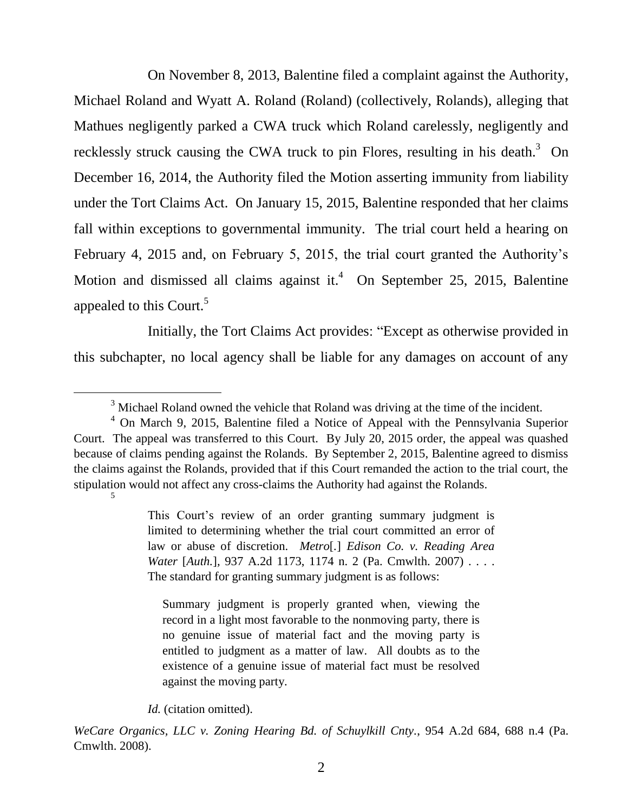On November 8, 2013, Balentine filed a complaint against the Authority, Michael Roland and Wyatt A. Roland (Roland) (collectively, Rolands), alleging that Mathues negligently parked a CWA truck which Roland carelessly, negligently and recklessly struck causing the CWA truck to pin Flores, resulting in his death.<sup>3</sup> On December 16, 2014, the Authority filed the Motion asserting immunity from liability under the Tort Claims Act. On January 15, 2015, Balentine responded that her claims fall within exceptions to governmental immunity. The trial court held a hearing on February 4, 2015 and, on February 5, 2015, the trial court granted the Authority's Motion and dismissed all claims against it.<sup>4</sup> On September 25, 2015, Balentine appealed to this Court.<sup>5</sup>

Initially, the Tort Claims Act provides: "Except as otherwise provided in this subchapter, no local agency shall be liable for any damages on account of any

 $\overline{a}$ 

Summary judgment is properly granted when, viewing the record in a light most favorable to the nonmoving party, there is no genuine issue of material fact and the moving party is entitled to judgment as a matter of law. All doubts as to the existence of a genuine issue of material fact must be resolved against the moving party.

*Id.* (citation omitted).

*WeCare Organics, LLC v. Zoning Hearing Bd. of Schuylkill Cnty.*, 954 A.2d 684, 688 n.4 (Pa. Cmwlth. 2008).

 $3$  Michael Roland owned the vehicle that Roland was driving at the time of the incident.

<sup>4</sup> On March 9, 2015, Balentine filed a Notice of Appeal with the Pennsylvania Superior Court. The appeal was transferred to this Court. By July 20, 2015 order, the appeal was quashed because of claims pending against the Rolands. By September 2, 2015, Balentine agreed to dismiss the claims against the Rolands, provided that if this Court remanded the action to the trial court, the stipulation would not affect any cross-claims the Authority had against the Rolands.

<sup>5</sup>

This Court's review of an order granting summary judgment is limited to determining whether the trial court committed an error of law or abuse of discretion. *Metro*[*.*] *Edison Co. v. Reading Area Water* [*Auth.*]*,* 937 A.2d 1173, 1174 n. 2 (Pa. Cmwlth. 2007) . . . . The standard for granting summary judgment is as follows: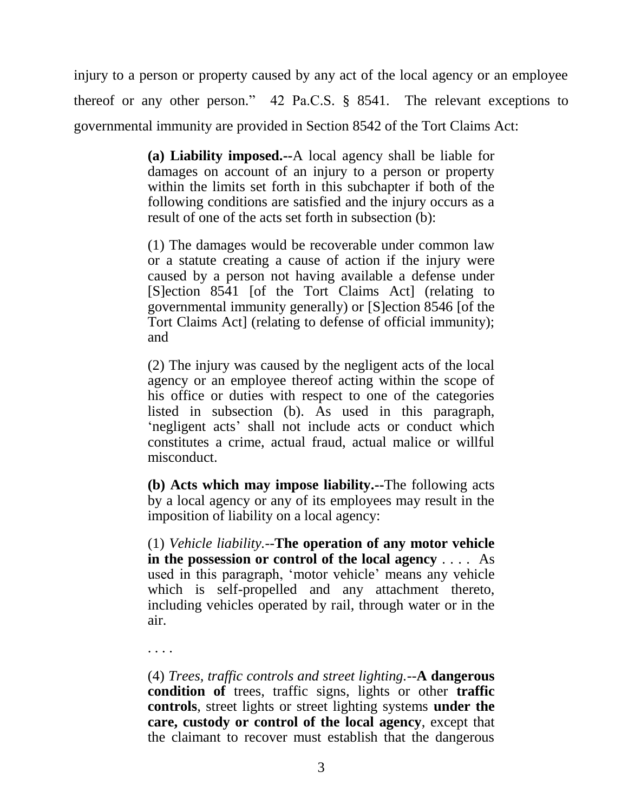injury to a person or property caused by any act of the local agency or an employee thereof or any other person." 42 Pa.C.S. § 8541. The relevant exceptions to governmental immunity are provided in Section 8542 of the Tort Claims Act:

> **(a) Liability imposed.--**A local agency shall be liable for damages on account of an injury to a person or property within the limits set forth in this subchapter if both of the following conditions are satisfied and the injury occurs as a result of one of the acts set forth in subsection (b):

> (1) The damages would be recoverable under common law or a statute creating a cause of action if the injury were caused by a person not having available a defense under [S]ection 8541 [of the Tort Claims Act] (relating to governmental immunity generally) or [S]ection 8546 [of the Tort Claims Act] (relating to defense of official immunity); and

> (2) The injury was caused by the negligent acts of the local agency or an employee thereof acting within the scope of his office or duties with respect to one of the categories listed in subsection (b). As used in this paragraph, 'negligent acts' shall not include acts or conduct which constitutes a crime, actual fraud, actual malice or willful misconduct.

> **(b) Acts which may impose liability.--**The following acts by a local agency or any of its employees may result in the imposition of liability on a local agency:

> (1) *Vehicle liability.*--**The operation of any motor vehicle in the possession or control of the local agency** . . . . As used in this paragraph, 'motor vehicle' means any vehicle which is self-propelled and any attachment thereto, including vehicles operated by rail, through water or in the air.

. . . .

(4) *Trees, traffic controls and street lighting.*--**A dangerous condition of** trees, traffic signs, lights or other **traffic controls**, street lights or street lighting systems **under the care, custody or control of the local agency**, except that the claimant to recover must establish that the dangerous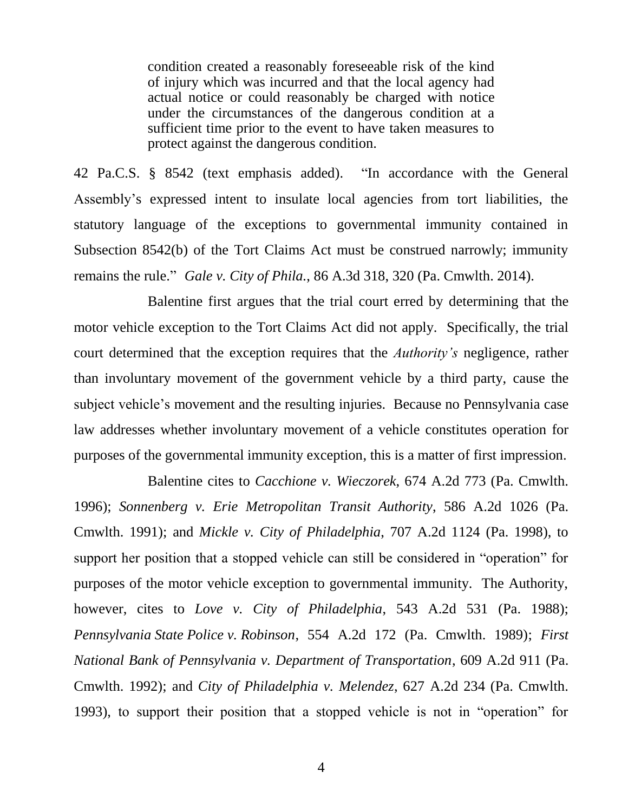condition created a reasonably foreseeable risk of the kind of injury which was incurred and that the local agency had actual notice or could reasonably be charged with notice under the circumstances of the dangerous condition at a sufficient time prior to the event to have taken measures to protect against the dangerous condition.

42 Pa.C.S. § 8542 (text emphasis added). "In accordance with the General Assembly's expressed intent to insulate local agencies from tort liabilities, the statutory language of the exceptions to governmental immunity contained in Subsection 8542(b) of the Tort Claims Act must be construed narrowly; immunity remains the rule." *Gale v. City of Phila.*, 86 A.3d 318, 320 (Pa. Cmwlth. 2014).

Balentine first argues that the trial court erred by determining that the motor vehicle exception to the Tort Claims Act did not apply. Specifically, the trial court determined that the exception requires that the *Authority's* negligence, rather than involuntary movement of the government vehicle by a third party, cause the subject vehicle's movement and the resulting injuries. Because no Pennsylvania case law addresses whether involuntary movement of a vehicle constitutes operation for purposes of the governmental immunity exception, this is a matter of first impression.

Balentine cites to *Cacchione v. Wieczorek*, 674 A.2d 773 (Pa. Cmwlth. 1996); *Sonnenberg v. Erie Metropolitan Transit Authority*, 586 A.2d 1026 (Pa. Cmwlth. 1991); and *Mickle v. City of Philadelphia*, 707 A.2d 1124 (Pa. 1998), to support her position that a stopped vehicle can still be considered in "operation" for purposes of the motor vehicle exception to governmental immunity. The Authority, however, cites to *Love v. City of Philadelphia*, 543 A.2d 531 (Pa. 1988); *Pennsylvania State Police v. Robinson*, 554 A.2d 172 (Pa. Cmwlth. 1989); *First National Bank of Pennsylvania v. Department of Transportation*, 609 A.2d 911 (Pa. Cmwlth. 1992); and *City of Philadelphia v. Melendez*, 627 A.2d 234 (Pa. Cmwlth. 1993), to support their position that a stopped vehicle is not in "operation" for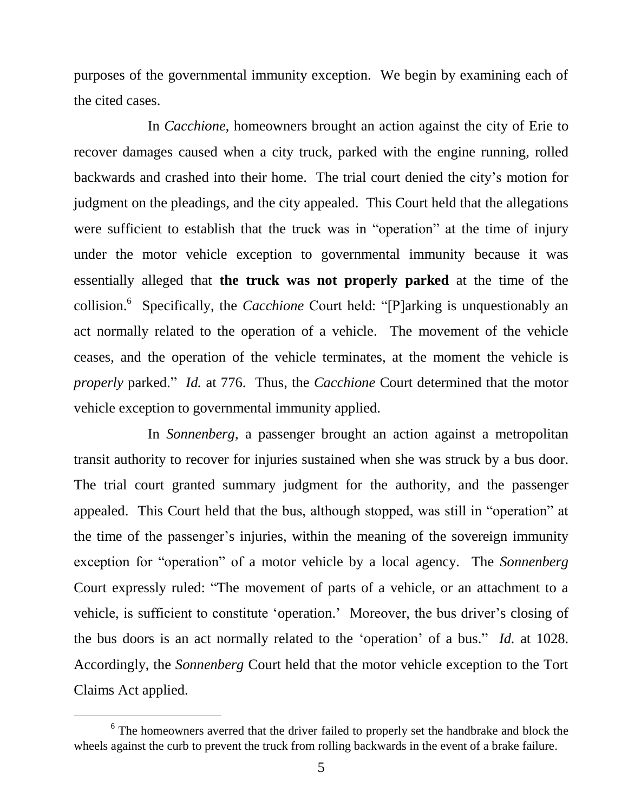purposes of the governmental immunity exception. We begin by examining each of the cited cases.

In *Cacchione*, homeowners brought an action against the city of Erie to recover damages caused when a city truck, parked with the engine running, rolled backwards and crashed into their home. The trial court denied the city's motion for judgment on the pleadings, and the city appealed. This Court held that the allegations were sufficient to establish that the truck was in "operation" at the time of injury under the motor vehicle exception to governmental immunity because it was essentially alleged that **the truck was not properly parked** at the time of the collision. 6 Specifically, the *Cacchione* Court held: "[P]arking is unquestionably an act normally related to the operation of a vehicle. The movement of the vehicle ceases, and the operation of the vehicle terminates, at the moment the vehicle is *properly* parked." *Id.* at 776. Thus, the *Cacchione* Court determined that the motor vehicle exception to governmental immunity applied.

In *Sonnenberg*, a passenger brought an action against a metropolitan transit authority to recover for injuries sustained when she was struck by a bus door. The trial court granted summary judgment for the authority, and the passenger appealed. This Court held that the bus, although stopped, was still in "operation" at the time of the passenger's injuries, within the meaning of the sovereign immunity exception for "operation" of a motor vehicle by a local agency. The *Sonnenberg* Court expressly ruled: "The movement of parts of a vehicle, or an attachment to a vehicle, is sufficient to constitute 'operation.' Moreover, the bus driver's closing of the bus doors is an act normally related to the 'operation' of a bus." *Id.* at 1028. Accordingly, the *Sonnenberg* Court held that the motor vehicle exception to the Tort Claims Act applied.

 $\overline{a}$ 

 $6$  The homeowners averred that the driver failed to properly set the handbrake and block the wheels against the curb to prevent the truck from rolling backwards in the event of a brake failure.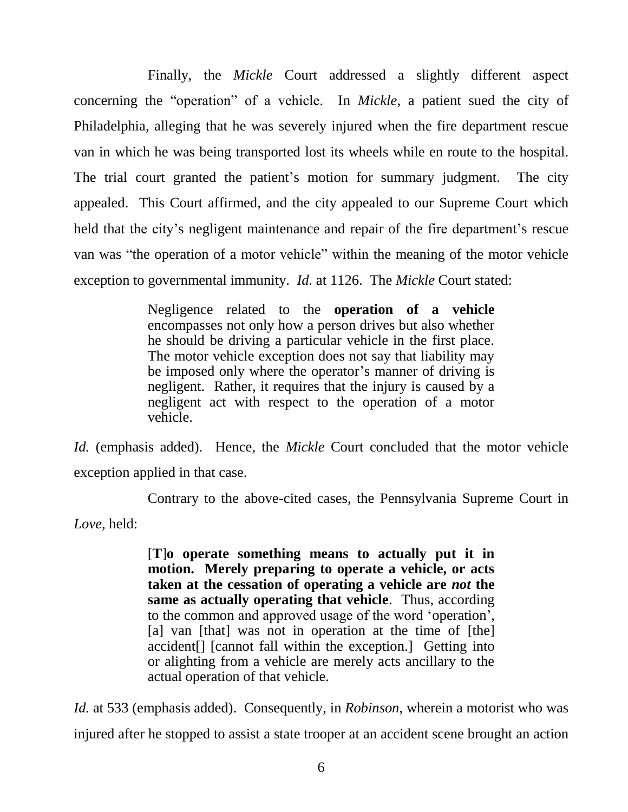Finally, the *Mickle* Court addressed a slightly different aspect concerning the "operation" of a vehicle. In *Mickle*, a patient sued the city of Philadelphia, alleging that he was severely injured when the fire department rescue van in which he was being transported lost its wheels while en route to the hospital. The trial court granted the patient's motion for summary judgment. The city appealed. This Court affirmed, and the city appealed to our Supreme Court which held that the city's negligent maintenance and repair of the fire department's rescue van was "the operation of a motor vehicle" within the meaning of the motor vehicle exception to governmental immunity. *Id.* at 1126. The *Mickle* Court stated:

> Negligence related to the **operation of a vehicle** encompasses not only how a person drives but also whether he should be driving a particular vehicle in the first place. The motor vehicle exception does not say that liability may be imposed only where the operator's manner of driving is negligent. Rather, it requires that the injury is caused by a negligent act with respect to the operation of a motor vehicle.

*Id.* (emphasis added). Hence, the *Mickle* Court concluded that the motor vehicle exception applied in that case.

Contrary to the above-cited cases, the Pennsylvania Supreme Court in

*Love,* held:

[**T**]**o operate something means to actually put it in motion. Merely preparing to operate a vehicle, or acts taken at the cessation of operating a vehicle are** *not* **the same as actually operating that vehicle**. Thus, according to the common and approved usage of the word 'operation', [a] van [that] was not in operation at the time of [the] accident[] [cannot fall within the exception.] Getting into or alighting from a vehicle are merely acts ancillary to the actual operation of that vehicle.

*Id.* at 533 (emphasis added). Consequently, in *Robinson*, wherein a motorist who was injured after he stopped to assist a state trooper at an accident scene brought an action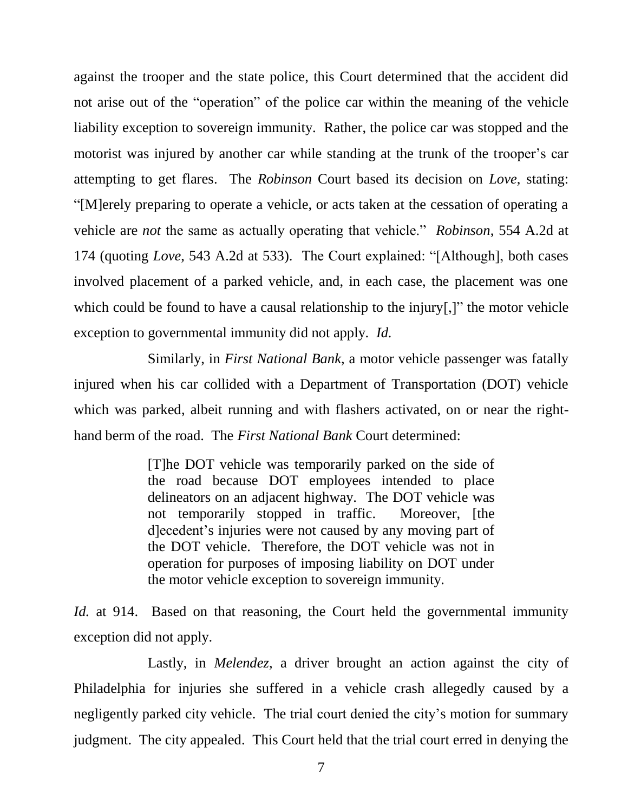against the trooper and the state police, this Court determined that the accident did not arise out of the "operation" of the police car within the meaning of the vehicle liability exception to sovereign immunity. Rather, the police car was stopped and the motorist was injured by another car while standing at the trunk of the trooper's car attempting to get flares. The *Robinson* Court based its decision on *Love*, stating: "[M]erely preparing to operate a vehicle, or acts taken at the cessation of operating a vehicle are *not* the same as actually operating that vehicle." *Robinson*, 554 A.2d at 174 (quoting *Love*, 543 A.2d at 533). The Court explained: "[Although], both cases involved placement of a parked vehicle, and, in each case, the placement was one which could be found to have a causal relationship to the injury[,]" the motor vehicle exception to governmental immunity did not apply. *Id.*

Similarly, in *First National Bank*, a motor vehicle passenger was fatally injured when his car collided with a Department of Transportation (DOT) vehicle which was parked, albeit running and with flashers activated, on or near the righthand berm of the road. The *First National Bank* Court determined:

> [T]he DOT vehicle was temporarily parked on the side of the road because DOT employees intended to place delineators on an adjacent highway. The DOT vehicle was not temporarily stopped in traffic. Moreover, [the d]ecedent's injuries were not caused by any moving part of the DOT vehicle. Therefore, the DOT vehicle was not in operation for purposes of imposing liability on DOT under the motor vehicle exception to sovereign immunity.

*Id.* at 914. Based on that reasoning, the Court held the governmental immunity exception did not apply.

Lastly, in *Melendez*, a driver brought an action against the city of Philadelphia for injuries she suffered in a vehicle crash allegedly caused by a negligently parked city vehicle. The trial court denied the city's motion for summary judgment. The city appealed. This Court held that the trial court erred in denying the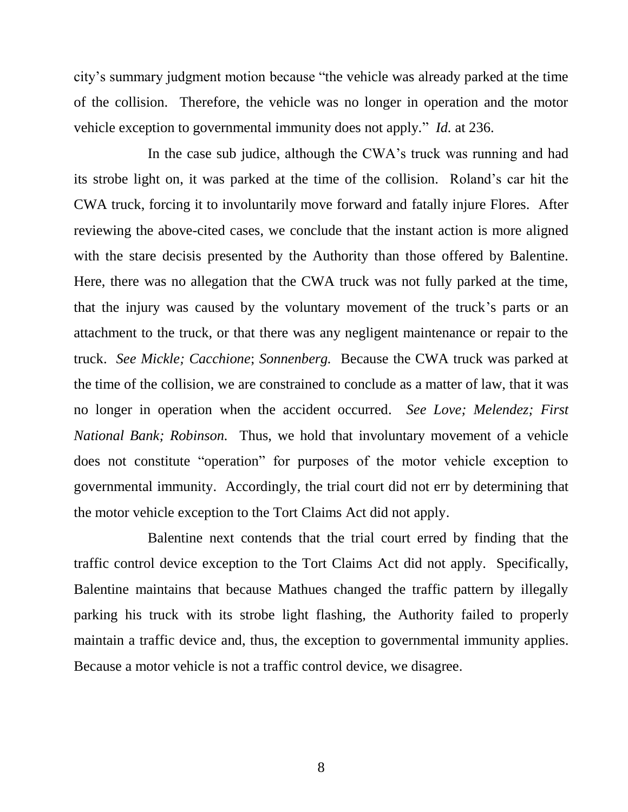city's summary judgment motion because "the vehicle was already parked at the time of the collision. Therefore, the vehicle was no longer in operation and the motor vehicle exception to governmental immunity does not apply." *Id.* at 236.

In the case sub judice, although the CWA's truck was running and had its strobe light on, it was parked at the time of the collision. Roland's car hit the CWA truck, forcing it to involuntarily move forward and fatally injure Flores. After reviewing the above-cited cases, we conclude that the instant action is more aligned with the stare decisis presented by the Authority than those offered by Balentine. Here, there was no allegation that the CWA truck was not fully parked at the time, that the injury was caused by the voluntary movement of the truck's parts or an attachment to the truck, or that there was any negligent maintenance or repair to the truck. *See Mickle; Cacchione*; *Sonnenberg.* Because the CWA truck was parked at the time of the collision, we are constrained to conclude as a matter of law, that it was no longer in operation when the accident occurred. *See Love; Melendez; First National Bank; Robinson.* Thus, we hold that involuntary movement of a vehicle does not constitute "operation" for purposes of the motor vehicle exception to governmental immunity. Accordingly, the trial court did not err by determining that the motor vehicle exception to the Tort Claims Act did not apply.

Balentine next contends that the trial court erred by finding that the traffic control device exception to the Tort Claims Act did not apply. Specifically, Balentine maintains that because Mathues changed the traffic pattern by illegally parking his truck with its strobe light flashing, the Authority failed to properly maintain a traffic device and, thus, the exception to governmental immunity applies. Because a motor vehicle is not a traffic control device, we disagree.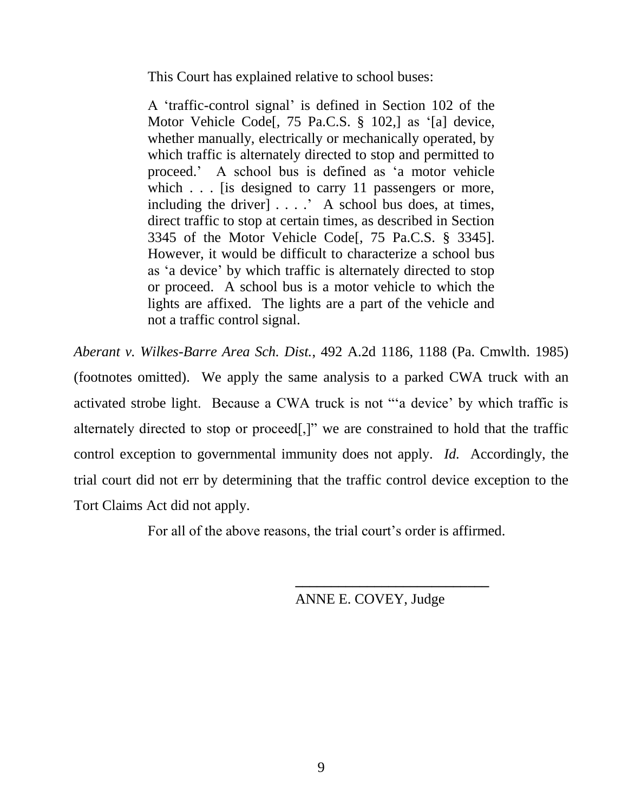This Court has explained relative to school buses:

A 'traffic-control signal' is defined in Section 102 of the Motor Vehicle Code[, 75 Pa.C.S. § 102,] as '[a] device, whether manually, electrically or mechanically operated, by which traffic is alternately directed to stop and permitted to proceed.' A school bus is defined as 'a motor vehicle which . . . [is designed to carry 11 passengers or more, including the driver] . . . .' A school bus does, at times, direct traffic to stop at certain times, as described in Section 3345 of the Motor Vehicle Code[, 75 Pa.C.S. § 3345]. However, it would be difficult to characterize a school bus as 'a device' by which traffic is alternately directed to stop or proceed. A school bus is a motor vehicle to which the lights are affixed. The lights are a part of the vehicle and not a traffic control signal.

*Aberant v. Wilkes-Barre Area Sch. Dist.*, 492 A.2d 1186, 1188 (Pa. Cmwlth. 1985) (footnotes omitted). We apply the same analysis to a parked CWA truck with an activated strobe light. Because a CWA truck is not "'a device' by which traffic is alternately directed to stop or proceed[,]" we are constrained to hold that the traffic control exception to governmental immunity does not apply. *Id.* Accordingly, the trial court did not err by determining that the traffic control device exception to the Tort Claims Act did not apply.

For all of the above reasons, the trial court's order is affirmed.

ANNE E. COVEY, Judge

**\_\_\_\_\_\_\_\_\_\_\_\_\_\_\_\_\_\_\_\_\_\_\_\_\_\_\_**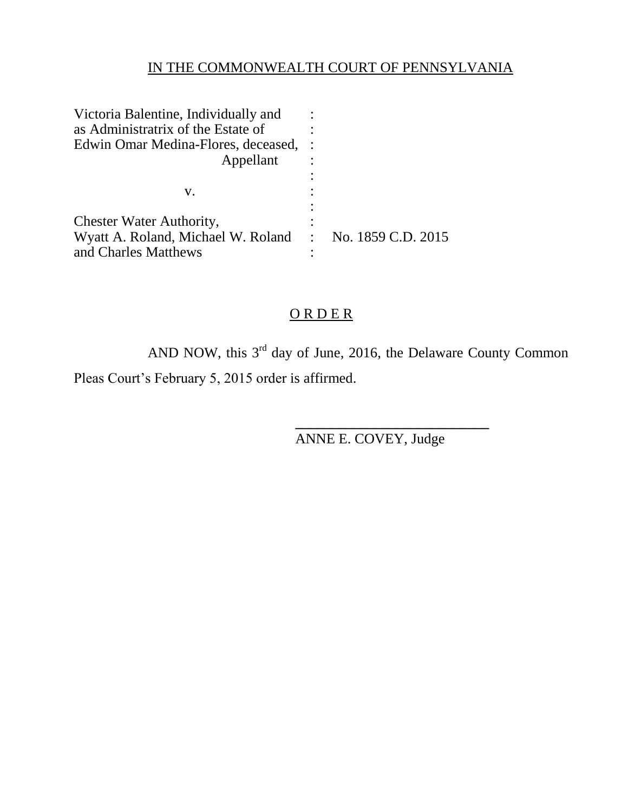## IN THE COMMONWEALTH COURT OF PENNSYLVANIA

| Victoria Balentine, Individually and                    |  |
|---------------------------------------------------------|--|
| as Administratrix of the Estate of                      |  |
| Edwin Omar Medina-Flores, deceased,                     |  |
| Appellant                                               |  |
|                                                         |  |
| V.                                                      |  |
|                                                         |  |
| <b>Chester Water Authority,</b>                         |  |
| Wyatt A. Roland, Michael W. Roland : No. 1859 C.D. 2015 |  |
| and Charles Matthews                                    |  |

## O R D E R

AND NOW, this  $3<sup>rd</sup>$  day of June, 2016, the Delaware County Common Pleas Court's February 5, 2015 order is affirmed.

ANNE E. COVEY, Judge

**\_\_\_\_\_\_\_\_\_\_\_\_\_\_\_\_\_\_\_\_\_\_\_\_\_\_\_**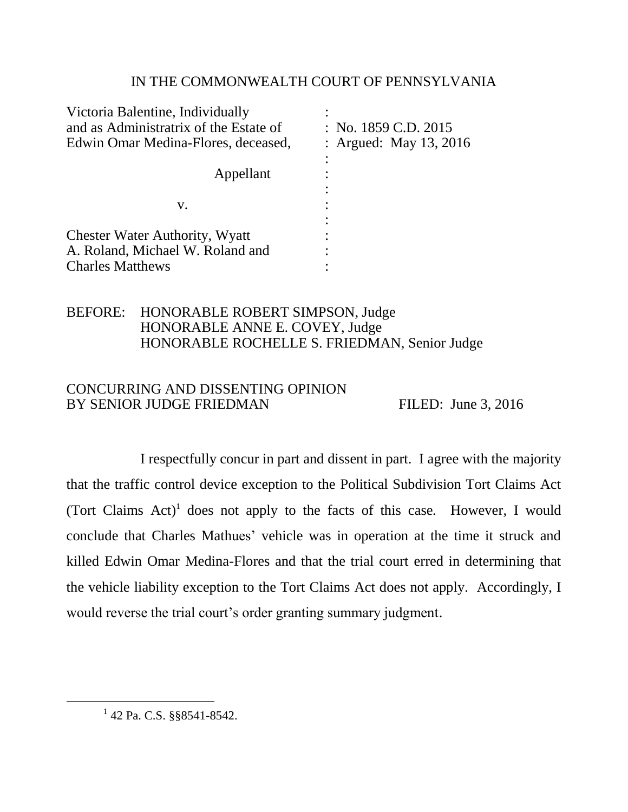## IN THE COMMONWEALTH COURT OF PENNSYLVANIA

| Victoria Balentine, Individually       |                        |
|----------------------------------------|------------------------|
| and as Administratrix of the Estate of | : No. 1859 C.D. 2015   |
| Edwin Omar Medina-Flores, deceased,    | : Argued: May 13, 2016 |
|                                        |                        |
| Appellant                              |                        |
|                                        |                        |
| V.                                     |                        |
|                                        |                        |
| <b>Chester Water Authority, Wyatt</b>  |                        |
| A. Roland, Michael W. Roland and       |                        |
| <b>Charles Matthews</b>                |                        |

## BEFORE: HONORABLE ROBERT SIMPSON, Judge HONORABLE ANNE E. COVEY, Judge HONORABLE ROCHELLE S. FRIEDMAN, Senior Judge

## CONCURRING AND DISSENTING OPINION BY SENIOR JUDGE FRIEDMAN FILED: June 3, 2016

I respectfully concur in part and dissent in part. I agree with the majority that the traffic control device exception to the Political Subdivision Tort Claims Act (Tort Claims Act)<sup>1</sup> does not apply to the facts of this case. However, I would conclude that Charles Mathues' vehicle was in operation at the time it struck and killed Edwin Omar Medina-Flores and that the trial court erred in determining that the vehicle liability exception to the Tort Claims Act does not apply. Accordingly, I would reverse the trial court's order granting summary judgment.

l

<sup>&</sup>lt;sup>1</sup> 42 Pa. C.S. §§8541-8542.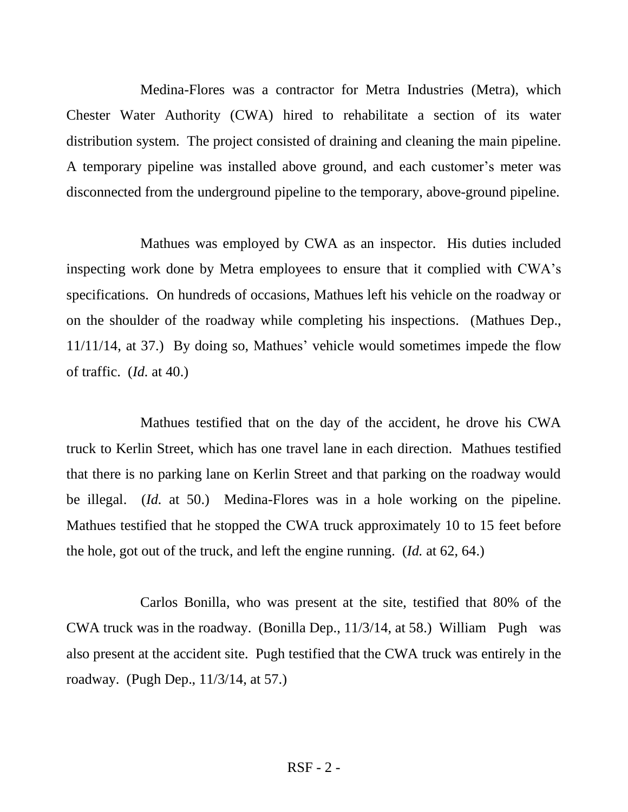Medina-Flores was a contractor for Metra Industries (Metra), which Chester Water Authority (CWA) hired to rehabilitate a section of its water distribution system. The project consisted of draining and cleaning the main pipeline. A temporary pipeline was installed above ground, and each customer's meter was disconnected from the underground pipeline to the temporary, above-ground pipeline.

Mathues was employed by CWA as an inspector. His duties included inspecting work done by Metra employees to ensure that it complied with CWA's specifications. On hundreds of occasions, Mathues left his vehicle on the roadway or on the shoulder of the roadway while completing his inspections. (Mathues Dep., 11/11/14, at 37.) By doing so, Mathues' vehicle would sometimes impede the flow of traffic. (*Id.* at 40.)

Mathues testified that on the day of the accident, he drove his CWA truck to Kerlin Street, which has one travel lane in each direction. Mathues testified that there is no parking lane on Kerlin Street and that parking on the roadway would be illegal. (*Id.* at 50.) Medina-Flores was in a hole working on the pipeline. Mathues testified that he stopped the CWA truck approximately 10 to 15 feet before the hole, got out of the truck, and left the engine running. (*Id.* at 62, 64.)

Carlos Bonilla, who was present at the site, testified that 80% of the CWA truck was in the roadway. (Bonilla Dep., 11/3/14, at 58.) William Pugh was also present at the accident site. Pugh testified that the CWA truck was entirely in the roadway. (Pugh Dep., 11/3/14, at 57.)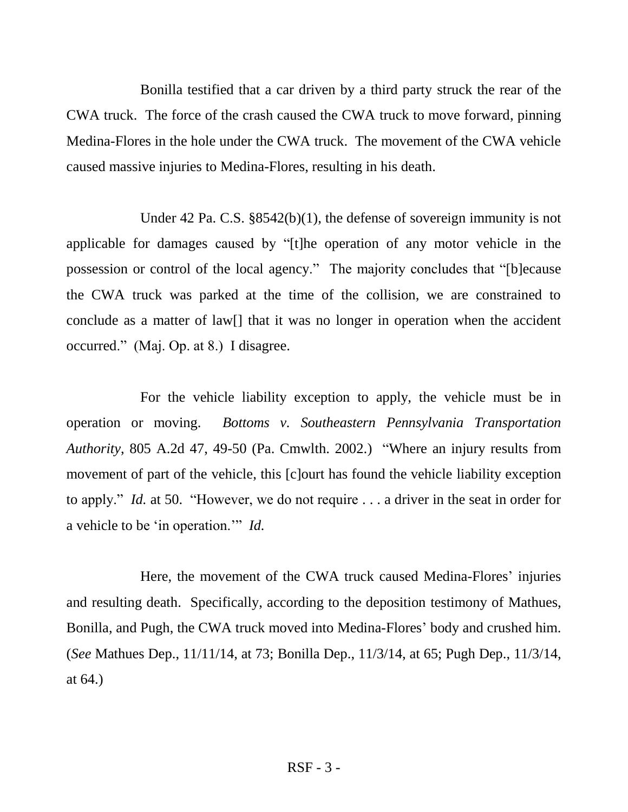Bonilla testified that a car driven by a third party struck the rear of the CWA truck. The force of the crash caused the CWA truck to move forward, pinning Medina-Flores in the hole under the CWA truck. The movement of the CWA vehicle caused massive injuries to Medina-Flores, resulting in his death.

Under 42 Pa. C.S. §8542(b)(1), the defense of sovereign immunity is not applicable for damages caused by "[t]he operation of any motor vehicle in the possession or control of the local agency." The majority concludes that "[b]ecause the CWA truck was parked at the time of the collision, we are constrained to conclude as a matter of law[] that it was no longer in operation when the accident occurred." (Maj. Op. at 8.) I disagree.

For the vehicle liability exception to apply, the vehicle must be in operation or moving. *Bottoms v. Southeastern Pennsylvania Transportation Authority*, 805 A.2d 47, 49-50 (Pa. Cmwlth. 2002.) "Where an injury results from movement of part of the vehicle, this [c]ourt has found the vehicle liability exception to apply." *Id.* at 50. "However, we do not require . . . a driver in the seat in order for a vehicle to be 'in operation.'" *Id.*

Here, the movement of the CWA truck caused Medina-Flores' injuries and resulting death. Specifically, according to the deposition testimony of Mathues, Bonilla, and Pugh, the CWA truck moved into Medina-Flores' body and crushed him. (*See* Mathues Dep., 11/11/14, at 73; Bonilla Dep., 11/3/14, at 65; Pugh Dep., 11/3/14, at 64.)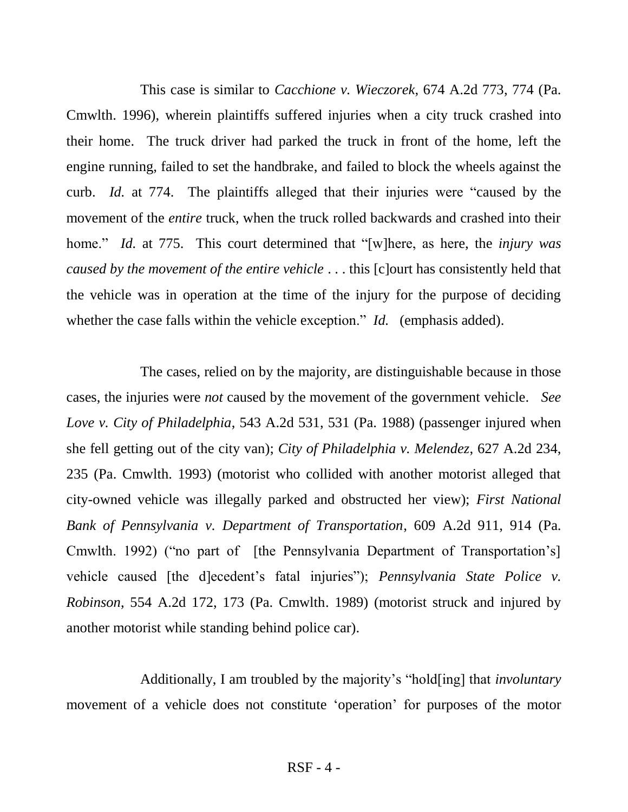This case is similar to *Cacchione v. Wieczorek*, 674 A.2d 773, 774 (Pa. Cmwlth. 1996), wherein plaintiffs suffered injuries when a city truck crashed into their home. The truck driver had parked the truck in front of the home, left the engine running, failed to set the handbrake, and failed to block the wheels against the curb. *Id.* at 774. The plaintiffs alleged that their injuries were "caused by the movement of the *entire* truck, when the truck rolled backwards and crashed into their home." *Id.* at 775. This court determined that "[w]here, as here, the *injury was caused by the movement of the entire vehicle* . . . this [c]ourt has consistently held that the vehicle was in operation at the time of the injury for the purpose of deciding whether the case falls within the vehicle exception." *Id.* (emphasis added).

The cases, relied on by the majority, are distinguishable because in those cases, the injuries were *not* caused by the movement of the government vehicle. *See Love v. City of Philadelphia*, 543 A.2d 531, 531 (Pa. 1988) (passenger injured when she fell getting out of the city van); *City of Philadelphia v. Melendez*, 627 A.2d 234, 235 (Pa. Cmwlth. 1993) (motorist who collided with another motorist alleged that city-owned vehicle was illegally parked and obstructed her view); *First National Bank of Pennsylvania v. Department of Transportation*, 609 A.2d 911, 914 (Pa. Cmwlth. 1992) ("no part of [the Pennsylvania Department of Transportation's] vehicle caused [the d]ecedent's fatal injuries"); *Pennsylvania State Police v. Robinson*, 554 A.2d 172, 173 (Pa. Cmwlth. 1989) (motorist struck and injured by another motorist while standing behind police car).

Additionally, I am troubled by the majority's "hold[ing] that *involuntary* movement of a vehicle does not constitute 'operation' for purposes of the motor